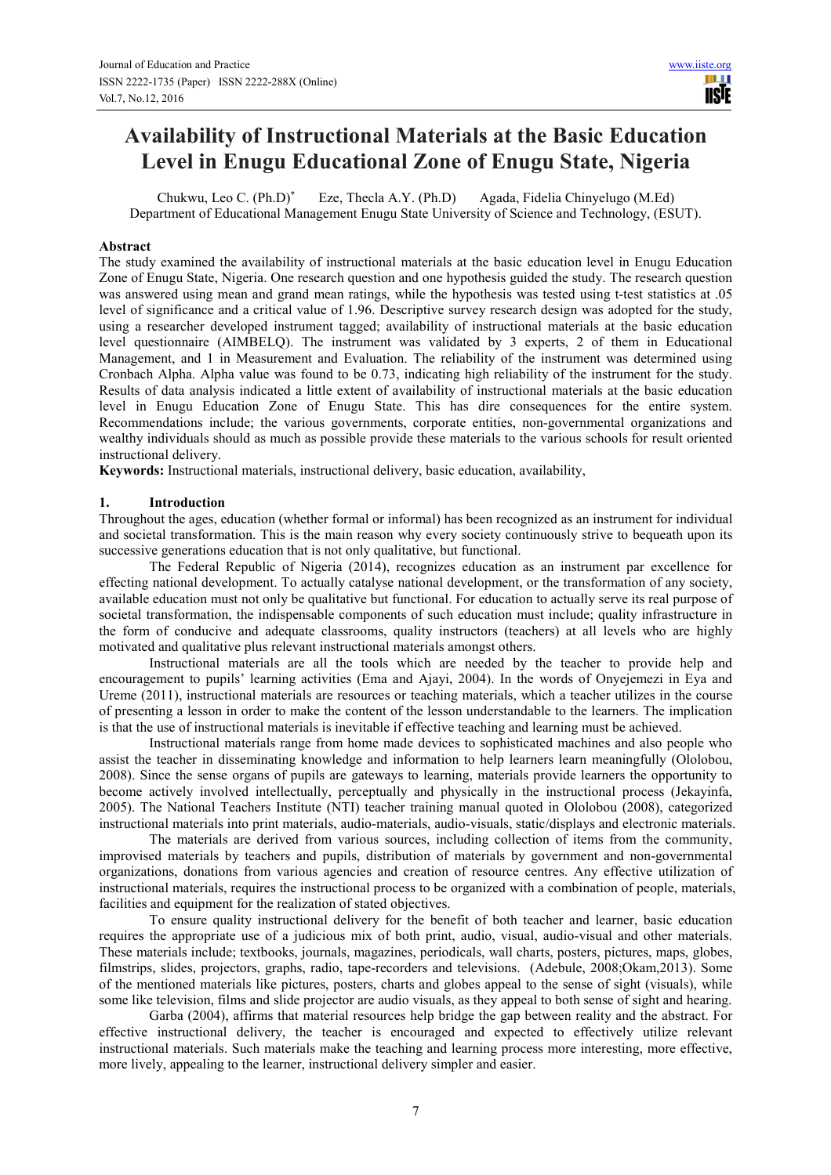# **Availability of Instructional Materials at the Basic Education Level in Enugu Educational Zone of Enugu State, Nigeria**

Chukwu, Leo C. (Ph.D)\* Eze, Thecla A.Y. (Ph.D) Agada, Fidelia Chinyelugo (M.Ed) Department of Educational Management Enugu State University of Science and Technology, (ESUT).

#### **Abstract**

The study examined the availability of instructional materials at the basic education level in Enugu Education Zone of Enugu State, Nigeria. One research question and one hypothesis guided the study. The research question was answered using mean and grand mean ratings, while the hypothesis was tested using t-test statistics at .05 level of significance and a critical value of 1.96. Descriptive survey research design was adopted for the study, using a researcher developed instrument tagged; availability of instructional materials at the basic education level questionnaire (AIMBELQ). The instrument was validated by 3 experts, 2 of them in Educational Management, and 1 in Measurement and Evaluation. The reliability of the instrument was determined using Cronbach Alpha. Alpha value was found to be 0.73, indicating high reliability of the instrument for the study. Results of data analysis indicated a little extent of availability of instructional materials at the basic education level in Enugu Education Zone of Enugu State. This has dire consequences for the entire system. Recommendations include; the various governments, corporate entities, non-governmental organizations and wealthy individuals should as much as possible provide these materials to the various schools for result oriented instructional delivery.

**Keywords:** Instructional materials, instructional delivery, basic education, availability,

#### **1. Introduction**

Throughout the ages, education (whether formal or informal) has been recognized as an instrument for individual and societal transformation. This is the main reason why every society continuously strive to bequeath upon its successive generations education that is not only qualitative, but functional.

 The Federal Republic of Nigeria (2014), recognizes education as an instrument par excellence for effecting national development. To actually catalyse national development, or the transformation of any society, available education must not only be qualitative but functional. For education to actually serve its real purpose of societal transformation, the indispensable components of such education must include; quality infrastructure in the form of conducive and adequate classrooms, quality instructors (teachers) at all levels who are highly motivated and qualitative plus relevant instructional materials amongst others.

 Instructional materials are all the tools which are needed by the teacher to provide help and encouragement to pupils' learning activities (Ema and Ajayi, 2004). In the words of Onyejemezi in Eya and Ureme (2011), instructional materials are resources or teaching materials, which a teacher utilizes in the course of presenting a lesson in order to make the content of the lesson understandable to the learners. The implication is that the use of instructional materials is inevitable if effective teaching and learning must be achieved.

 Instructional materials range from home made devices to sophisticated machines and also people who assist the teacher in disseminating knowledge and information to help learners learn meaningfully (Ololobou, 2008). Since the sense organs of pupils are gateways to learning, materials provide learners the opportunity to become actively involved intellectually, perceptually and physically in the instructional process (Jekayinfa, 2005). The National Teachers Institute (NTI) teacher training manual quoted in Ololobou (2008), categorized instructional materials into print materials, audio-materials, audio-visuals, static/displays and electronic materials.

 The materials are derived from various sources, including collection of items from the community, improvised materials by teachers and pupils, distribution of materials by government and non-governmental organizations, donations from various agencies and creation of resource centres. Any effective utilization of instructional materials, requires the instructional process to be organized with a combination of people, materials, facilities and equipment for the realization of stated objectives.

 To ensure quality instructional delivery for the benefit of both teacher and learner, basic education requires the appropriate use of a judicious mix of both print, audio, visual, audio-visual and other materials. These materials include; textbooks, journals, magazines, periodicals, wall charts, posters, pictures, maps, globes, filmstrips, slides, projectors, graphs, radio, tape-recorders and televisions. (Adebule, 2008;Okam,2013). Some of the mentioned materials like pictures, posters, charts and globes appeal to the sense of sight (visuals), while some like television, films and slide projector are audio visuals, as they appeal to both sense of sight and hearing.

 Garba (2004), affirms that material resources help bridge the gap between reality and the abstract. For effective instructional delivery, the teacher is encouraged and expected to effectively utilize relevant instructional materials. Such materials make the teaching and learning process more interesting, more effective, more lively, appealing to the learner, instructional delivery simpler and easier.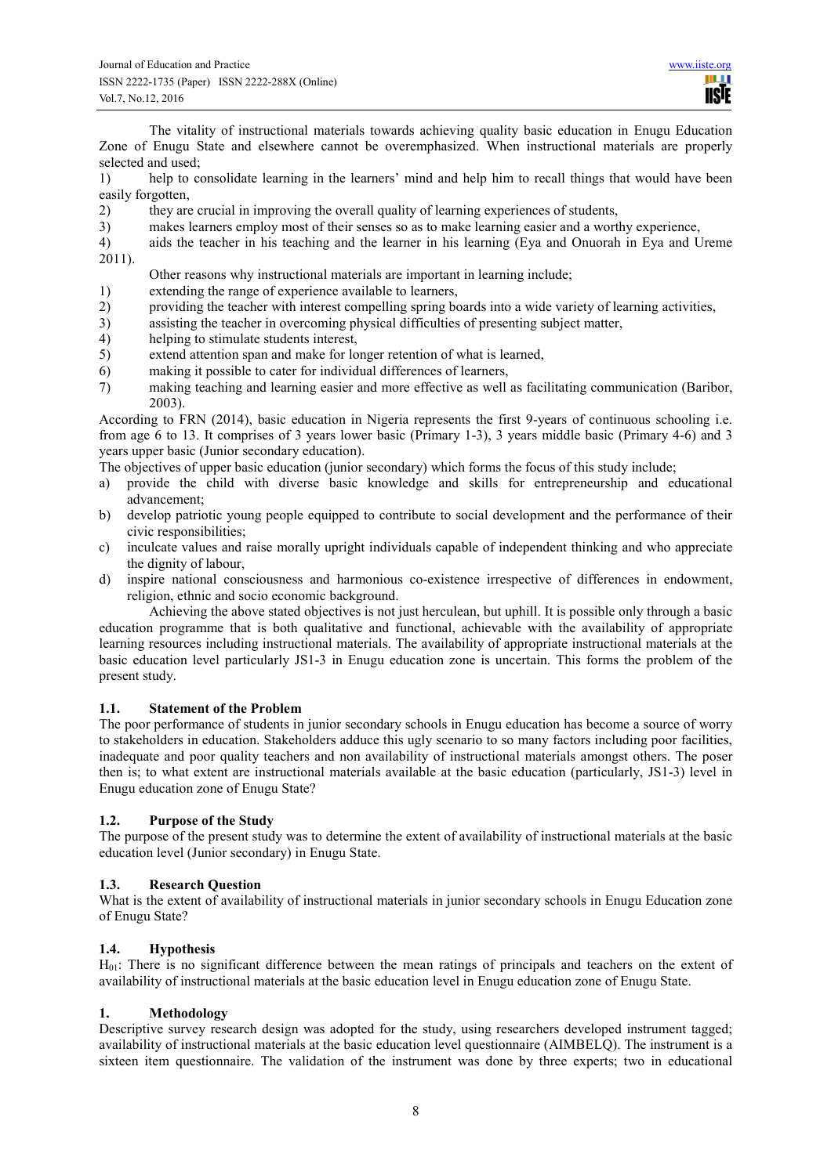The vitality of instructional materials towards achieving quality basic education in Enugu Education Zone of Enugu State and elsewhere cannot be overemphasized. When instructional materials are properly selected and used;

1) help to consolidate learning in the learners' mind and help him to recall things that would have been easily forgotten,

- 2) they are crucial in improving the overall quality of learning experiences of students,
- 3) makes learners employ most of their senses so as to make learning easier and a worthy experience,
- 4) aids the teacher in his teaching and the learner in his learning (Eya and Onuorah in Eya and Ureme 2011).
	- Other reasons why instructional materials are important in learning include;
- 1) extending the range of experience available to learners,
- 2) providing the teacher with interest compelling spring boards into a wide variety of learning activities,
- 3) assisting the teacher in overcoming physical difficulties of presenting subject matter,
- helping to stimulate students interest,
- 5) extend attention span and make for longer retention of what is learned,
- 6) making it possible to cater for individual differences of learners,
- 7) making teaching and learning easier and more effective as well as facilitating communication (Baribor, 2003).

According to FRN (2014), basic education in Nigeria represents the first 9-years of continuous schooling i.e. from age 6 to 13. It comprises of 3 years lower basic (Primary 1-3), 3 years middle basic (Primary 4-6) and 3 years upper basic (Junior secondary education).

The objectives of upper basic education (junior secondary) which forms the focus of this study include;

- a) provide the child with diverse basic knowledge and skills for entrepreneurship and educational advancement;
- b) develop patriotic young people equipped to contribute to social development and the performance of their civic responsibilities;
- c) inculcate values and raise morally upright individuals capable of independent thinking and who appreciate the dignity of labour,
- d) inspire national consciousness and harmonious co-existence irrespective of differences in endowment, religion, ethnic and socio economic background.

Achieving the above stated objectives is not just herculean, but uphill. It is possible only through a basic education programme that is both qualitative and functional, achievable with the availability of appropriate learning resources including instructional materials. The availability of appropriate instructional materials at the basic education level particularly JS1-3 in Enugu education zone is uncertain. This forms the problem of the present study.

### **1.1. Statement of the Problem**

The poor performance of students in junior secondary schools in Enugu education has become a source of worry to stakeholders in education. Stakeholders adduce this ugly scenario to so many factors including poor facilities, inadequate and poor quality teachers and non availability of instructional materials amongst others. The poser then is; to what extent are instructional materials available at the basic education (particularly, JS1-3) level in Enugu education zone of Enugu State?

### **1.2. Purpose of the Study**

The purpose of the present study was to determine the extent of availability of instructional materials at the basic education level (Junior secondary) in Enugu State.

### **1.3. Research Question**

What is the extent of availability of instructional materials in junior secondary schools in Enugu Education zone of Enugu State?

### **1.4. Hypothesis**

H01: There is no significant difference between the mean ratings of principals and teachers on the extent of availability of instructional materials at the basic education level in Enugu education zone of Enugu State.

### **1. Methodology**

Descriptive survey research design was adopted for the study, using researchers developed instrument tagged; availability of instructional materials at the basic education level questionnaire (AIMBELQ). The instrument is a sixteen item questionnaire. The validation of the instrument was done by three experts; two in educational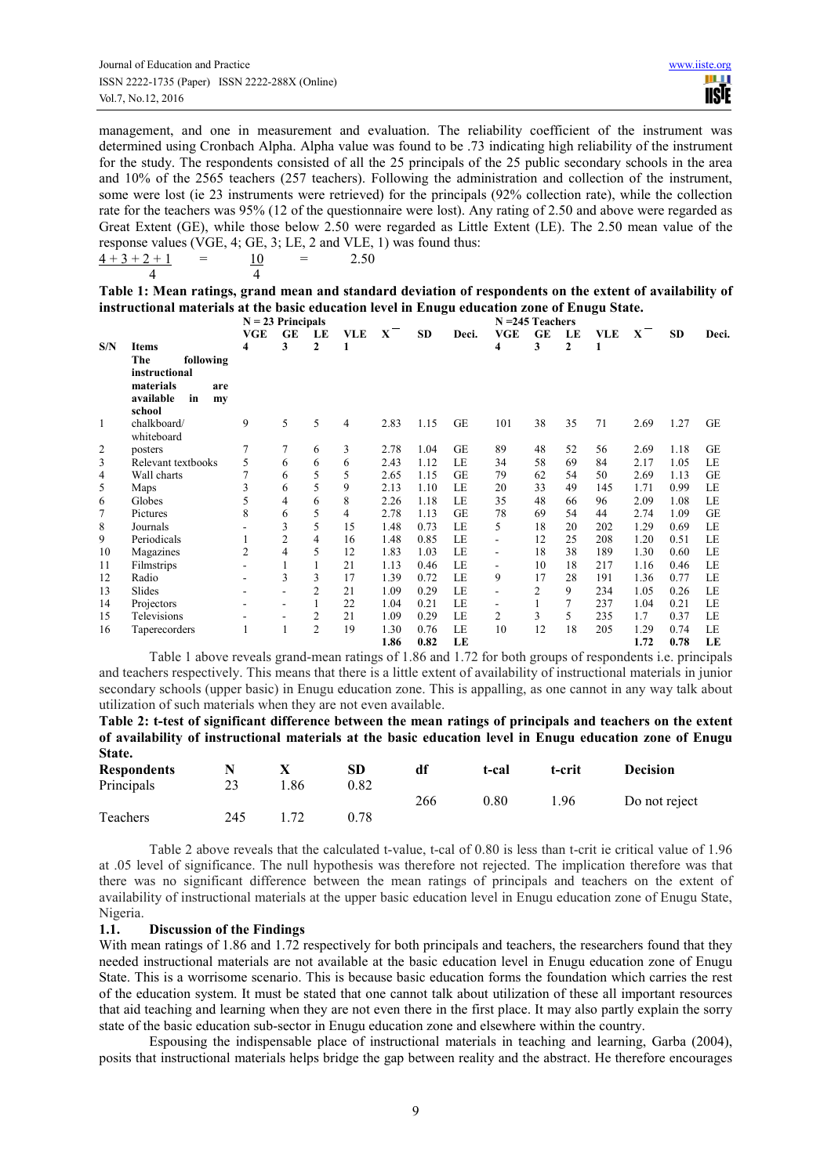management, and one in measurement and evaluation. The reliability coefficient of the instrument was determined using Cronbach Alpha. Alpha value was found to be .73 indicating high reliability of the instrument for the study. The respondents consisted of all the 25 principals of the 25 public secondary schools in the area and 10% of the 2565 teachers (257 teachers). Following the administration and collection of the instrument, some were lost (ie 23 instruments were retrieved) for the principals (92% collection rate), while the collection rate for the teachers was 95% (12 of the questionnaire were lost). Any rating of 2.50 and above were regarded as Great Extent (GE), while those below 2.50 were regarded as Little Extent (LE). The 2.50 mean value of the response values (VGE, 4; GE, 3; LE, 2 and VLE, 1) was found thus:

| $4+3+2+1$ | $=$ |  | 2.50 |
|-----------|-----|--|------|
|           |     |  |      |

**Table 1: Mean ratings, grand mean and standard deviation of respondents on the extent of availability of instructional materials at the basic education level in Enugu education zone of Enugu State.** 

|                |                                                                                | $N = 23$ Principals |                |                |                |      | $N = 245$ Teachers |           |            |           |    |            |      |           |           |
|----------------|--------------------------------------------------------------------------------|---------------------|----------------|----------------|----------------|------|--------------------|-----------|------------|-----------|----|------------|------|-----------|-----------|
|                |                                                                                | <b>VGE</b>          | <b>GE</b>      | LE             | <b>VLE</b>     | X    | <b>SD</b>          | Deci.     | <b>VGE</b> | <b>GE</b> | LE | <b>VLE</b> | X    | <b>SD</b> | Deci.     |
| S/N            | <b>Items</b>                                                                   | 4                   | 3              | $\mathbf{2}$   | 1              |      |                    |           | 4          | 3         | 2  | 1          |      |           |           |
|                | The<br>following<br>instructional<br>materials<br>are<br>available<br>in<br>my |                     |                |                |                |      |                    |           |            |           |    |            |      |           |           |
| 1              | school<br>chalkboard/                                                          | 9                   | 5              | 5              | $\overline{4}$ | 2.83 | 1.15               | <b>GE</b> | 101        | 38        | 35 | 71         | 2.69 | 1.27      | <b>GE</b> |
| $\overline{c}$ | whiteboard<br>posters                                                          | 7                   | 7              | 6              | 3              | 2.78 | 1.04               | <b>GE</b> | 89         | 48        | 52 | 56         | 2.69 | 1.18      | <b>GE</b> |
| 3              | Relevant textbooks                                                             | 5                   | 6              | 6              | 6              | 2.43 | 1.12               | LE        | 34         | 58        | 69 | 84         | 2.17 | 1.05      | LE        |
| 4              | Wall charts                                                                    | 7                   | 6              | 5              | 5              | 2.65 | 1.15               | <b>GE</b> | 79         | 62        | 54 | 50         | 2.69 | 1.13      | <b>GE</b> |
| 5              | Maps                                                                           | 3                   | 6              | 5              | 9              | 2.13 | 1.10               | LE        | 20         | 33        | 49 | 145        | 1.71 | 0.99      | LE        |
| 6              | Globes                                                                         | 5                   | 4              | 6              | 8              | 2.26 | 1.18               | LE        | 35         | 48        | 66 | 96         | 2.09 | 1.08      | LE        |
| 7              | Pictures                                                                       | 8                   | 6              | 5              | 4              | 2.78 | 1.13               | <b>GE</b> | 78         | 69        | 54 | 44         | 2.74 | 1.09      | <b>GE</b> |
| 8              | Journals                                                                       |                     | 3              | 5              | 15             | 1.48 | 0.73               | LE        | 5          | 18        | 20 | 202        | 1.29 | 0.69      | LE        |
| 9              | Periodicals                                                                    |                     | $\overline{c}$ | 4              | 16             | 1.48 | 0.85               | LE        | ÷,         | 12        | 25 | 208        | 1.20 | 0.51      | LE        |
| 10             | Magazines                                                                      | $\overline{2}$      | 4              | 5              | 12             | 1.83 | 1.03               | LE        | ÷,         | 18        | 38 | 189        | 1.30 | 0.60      | LE        |
| 11             | Filmstrips                                                                     |                     | 1              |                | 21             | 1.13 | 0.46               | LE        |            | 10        | 18 | 217        | 1.16 | 0.46      | LE        |
| 12             | Radio                                                                          |                     | 3              | 3              | 17             | 1.39 | 0.72               | LE        | 9          | 17        | 28 | 191        | 1.36 | 0.77      | LE        |
| 13             | Slides                                                                         |                     |                | 2              | 21             | 1.09 | 0.29               | LE        | ۰          | 2         | 9  | 234        | 1.05 | 0.26      | LE        |
| 14             | Projectors                                                                     |                     |                |                | 22             | 1.04 | 0.21               | LE        |            |           | 7  | 237        | 1.04 | 0.21      | LE        |
| 15             | Televisions                                                                    |                     |                | 2              | 21             | 1.09 | 0.29               | LE        | 2          | 3         | 5  | 235        | 1.7  | 0.37      | LE        |
| 16             | Taperecorders                                                                  |                     | 1              | $\overline{2}$ | 19             | 1.30 | 0.76               | LE        | 10         | 12        | 18 | 205        | 1.29 | 0.74      | LE        |
|                |                                                                                |                     |                |                |                | 1.86 | 0.82               | LE        |            |           |    |            | 1.72 | 0.78      | LE        |

Table 1 above reveals grand-mean ratings of 1.86 and 1.72 for both groups of respondents i.e. principals and teachers respectively. This means that there is a little extent of availability of instructional materials in junior secondary schools (upper basic) in Enugu education zone. This is appalling, as one cannot in any way talk about utilization of such materials when they are not even available.

**Table 2: t-test of significant difference between the mean ratings of principals and teachers on the extent of availability of instructional materials at the basic education level in Enugu education zone of Enugu State.** 

| <b>Respondents</b> |     |      | SD.  | df  | t-cal | t-crit | <b>Decision</b> |
|--------------------|-----|------|------|-----|-------|--------|-----------------|
| Principals         | 23  | 1.86 | 0.82 |     |       |        |                 |
|                    |     |      |      | 266 | 0.80  | 1.96   | Do not reject   |
| Teachers           | 245 |      | 0.78 |     |       |        |                 |

Table 2 above reveals that the calculated t-value, t-cal of 0.80 is less than t-crit ie critical value of 1.96 at .05 level of significance. The null hypothesis was therefore not rejected. The implication therefore was that there was no significant difference between the mean ratings of principals and teachers on the extent of availability of instructional materials at the upper basic education level in Enugu education zone of Enugu State, Nigeria.

## **1.1. Discussion of the Findings**

With mean ratings of 1.86 and 1.72 respectively for both principals and teachers, the researchers found that they needed instructional materials are not available at the basic education level in Enugu education zone of Enugu State. This is a worrisome scenario. This is because basic education forms the foundation which carries the rest of the education system. It must be stated that one cannot talk about utilization of these all important resources that aid teaching and learning when they are not even there in the first place. It may also partly explain the sorry state of the basic education sub-sector in Enugu education zone and elsewhere within the country.

 Espousing the indispensable place of instructional materials in teaching and learning, Garba (2004), posits that instructional materials helps bridge the gap between reality and the abstract. He therefore encourages